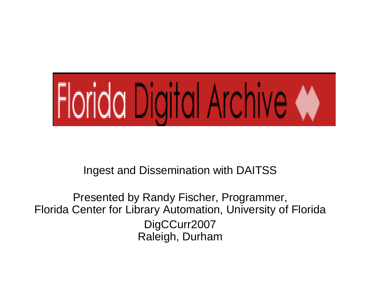

Ingest and Dissemination with DAITSS

Presented by Randy Fischer, Programmer, Florida Center for Library Automation, University of Florida DigCCurr2007 Raleigh, Durham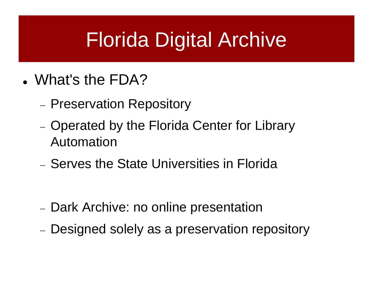# Florida Digital Archive

- What's the FDA?
	- −- Preservation Repository
	- −- Operated by the Florida Center for Library Automation
	- − Serves the State Universities in Florida

- −- Dark Archive: no online presentation
- −Designed solely as a preservation repository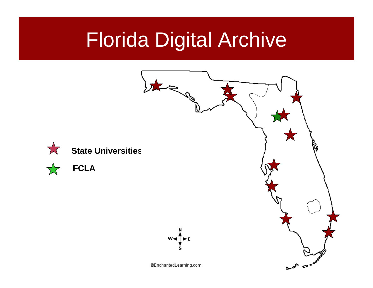# Florida Digital Archive

**FCLA**

 $\sum_{i=1}^{n}$ 

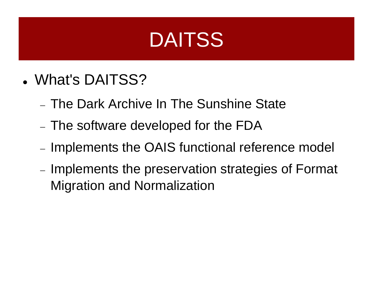## **DAITSS**

- What's DAITSS?
	- − The Dark Archive In The Sunshine State
	- − $\overline{\phantom{a}}$  The software developed for the FDA
	- − $-$  Implements the OAIS functional reference model
	- −- Implements the preservation strategies of Format Migration and Normalization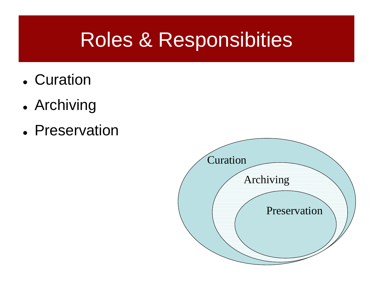# Roles & Responsibities

- Curation
- Archiving
- Preservation

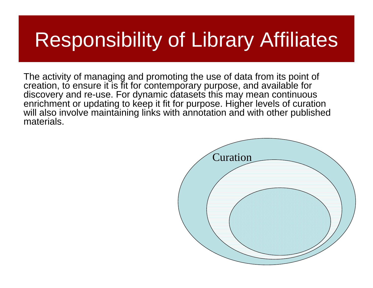# Responsibility of Library Affiliates

The activity of managing and promoting the use of data from its point of creation, to ensure it is fit for contemporary purpose, and available for discovery and re-use. For dynamic datasets this may mean continuous enrichment or updating to keep it fit for purpose. Higher levels of curation will also involve maintaining links with annotation and with other published materials.

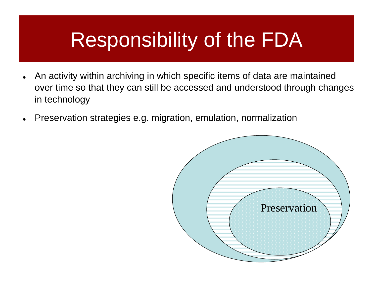# Responsibility of the FDA

- $\bullet$  An activity within archiving in which specific items of data are maintained over time so that they can still be accessed and understood through changes in technology
- $\bullet$ Preservation strategies e.g. migration, emulation, normalization

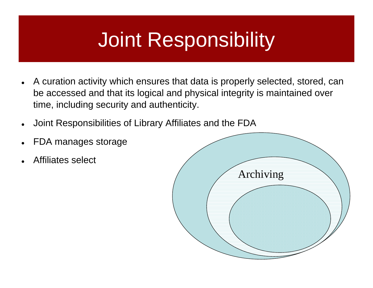# Joint Responsibility

- $\bullet$  A curation activity which ensures that data is properly selected, stored, can be accessed and that its logical and physical integrity is maintained over time, including security and authenticity.
- $\bullet$ Joint Responsibilities of Library Affiliates and the FDA
- $\bullet$ FDA manages storage
- $\bullet$ Affiliates select

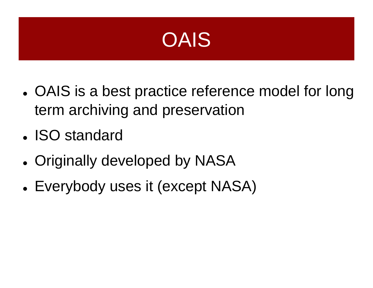

- OAIS is a best practice reference model for long term archiving and preservation
- ISO standard
- Originally developed by NASA
- Everybody uses it (except NASA)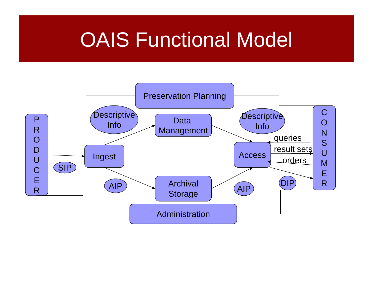## **OAIS Functional Model**

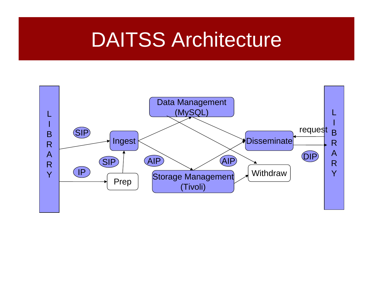#### DAITSS Architecture

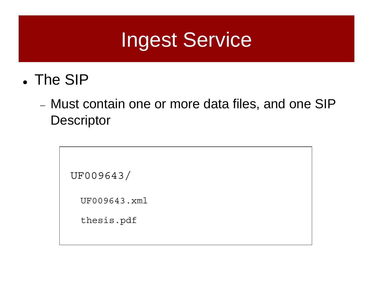### Ingest Service

- The SIP
	- − Must contain one or more data files, and one SIP **Descriptor**

```
UF009643/
```
UF009643.xml

thesis.pdf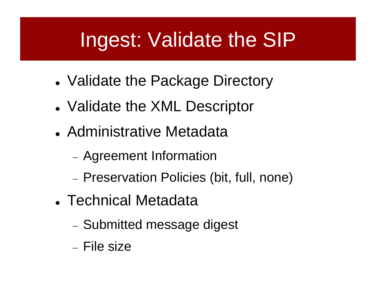# Ingest: Validate the SIP

- Validate the Package Directory
- Validate the XML Descriptor
- Administrative Metadata
	- Agreement Information
	- Preservation Policies (bit, full, none)
- Technical Metadata
	- Submitted message digest
	- − File size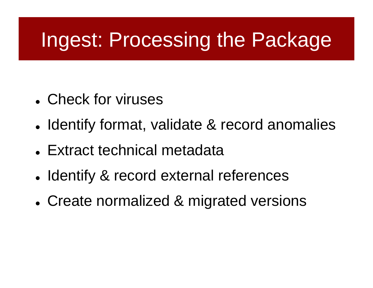# Ingest: Processing the Package

- Check for viruses
- Identify format, validate & record anomalies
- Extract technical metadata
- Identify & record external references
- Create normalized & migrated versions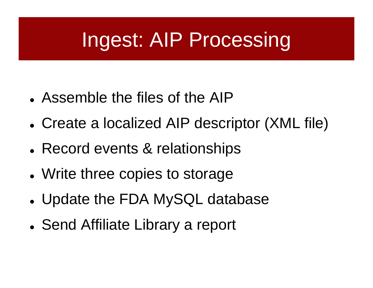# Ingest: AIP Processing

- Assemble the files of the AIP
- Create a localized AIP descriptor (XML file)
- Record events & relationships
- Write three copies to storage
- Update the FDA MySQL database
- Send Affiliate Library a report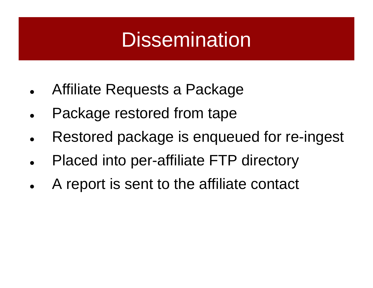## **Dissemination**

- $\bullet$ Affiliate Requests a Package
- $\bullet$ Package restored from tape
- $\bullet$ Restored package is enqueued for re-ingest
- $\bullet$ Placed into per-affiliate FTP directory
- $\bullet$ A report is sent to the affiliate contact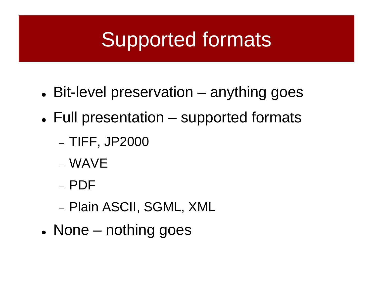# Supported formats

- Bit-level preservation anything goes
- Full presentation supported formats
	- −TIFF, JP2000
	- − WAVE
	- − PDF
	- −− Plain ASCII, SGML, XML
- None nothing goes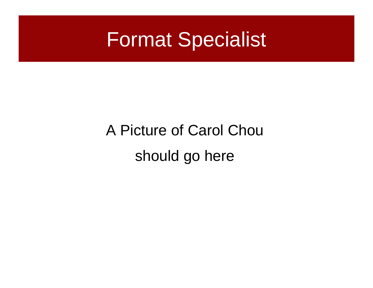

## A Picture of Carol Chou should go here